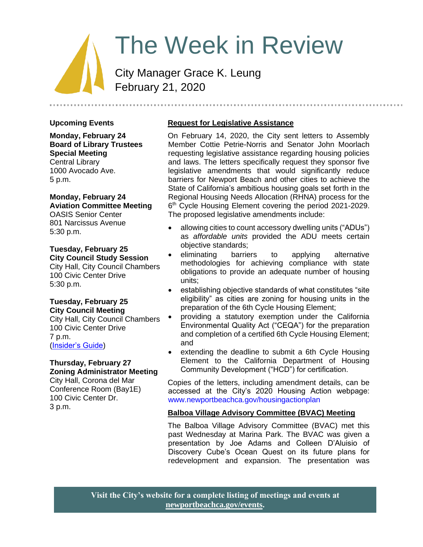# The Week in Review

City Manager Grace K. Leung February 21, 2020

# **Upcoming Events**

**Monday, February 24 Board of Library Trustees Special Meeting** Central Library 1000 Avocado Ave. 5 p.m.

## **Monday, February 24 Aviation Committee Meeting** OASIS Senior Center

801 Narcissus Avenue 5:30 p.m.

# **Tuesday, February 25 City Council Study Session**

City Hall, City Council Chambers 100 Civic Center Drive 5:30 p.m.

## **Tuesday, February 25 City Council Meeting**

City Hall, City Council Chambers 100 Civic Center Drive 7 p.m. [\(Insider's Guide\)](https://www.newportbeachca.gov/Admin/Components/Page/EditDesign?NavID=19152&backUrl=%2Fgovernment%2Fdepartments%2Fcity-manager-s-office%2Finsider-s-guide%2F-fsiteid-1)

## **Thursday, February 27 Zoning Administrator Meeting**

City Hall, Corona del Mar Conference Room (Bay1E) 100 Civic Center Dr. 3 p.m.

# **Request for Legislative Assistance**

On February 14, 2020, the City sent letters to Assembly Member Cottie Petrie-Norris and Senator John Moorlach requesting legislative assistance regarding housing policies and laws. The letters specifically request they sponsor five legislative amendments that would significantly reduce barriers for Newport Beach and other cities to achieve the State of California's ambitious housing goals set forth in the Regional Housing Needs Allocation (RHNA) process for the 6<sup>th</sup> Cycle Housing Element covering the period 2021-2029. The proposed legislative amendments include:

- allowing cities to count accessory dwelling units ("ADUs") as *affordable units* provided the ADU meets certain objective standards;
- eliminating barriers to applying alternative methodologies for achieving compliance with state obligations to provide an adequate number of housing units;
- establishing objective standards of what constitutes "site eligibility" as cities are zoning for housing units in the preparation of the 6th Cycle Housing Element;
- providing a statutory exemption under the California Environmental Quality Act ("CEQA") for the preparation and completion of a certified 6th Cycle Housing Element; and
- extending the deadline to submit a 6th Cycle Housing Element to the California Department of Housing Community Development ("HCD") for certification.

Copies of the letters, including amendment details, can be accessed at the City's 2020 Housing Action webpage: [www.newportbeachca.gov/housingactionplan](http://www.newportbeachca.gov/housingactionplan)

# **Balboa Village Advisory Committee (BVAC) Meeting**

The Balboa Village Advisory Committee (BVAC) met this past Wednesday at Marina Park. The BVAC was given a presentation by Joe Adams and Colleen D'Aluisio of Discovery Cube's Ocean Quest on its future plans for redevelopment and expansion. The presentation was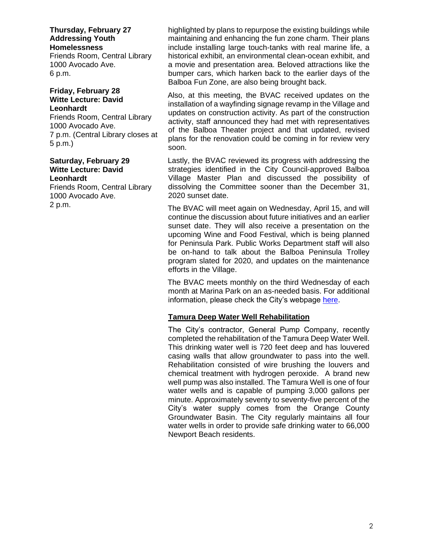**Thursday, February 27 Addressing Youth Homelessness**

Friends Room, Central Library 1000 Avocado Ave. 6 p.m.

#### **Friday, February 28 Witte Lecture: David Leonhardt**

Friends Room, Central Library 1000 Avocado Ave. 7 p.m. (Central Library closes at 5 p.m.)

#### **Saturday, February 29 Witte Lecture: David Leonhardt**

Friends Room, Central Library 1000 Avocado Ave. 2 p.m.

highlighted by plans to repurpose the existing buildings while maintaining and enhancing the fun zone charm. Their plans include installing large touch-tanks with real marine life, a historical exhibit, an environmental clean-ocean exhibit, and a movie and presentation area. Beloved attractions like the bumper cars, which harken back to the earlier days of the Balboa Fun Zone, are also being brought back.

Also, at this meeting, the BVAC received updates on the installation of a wayfinding signage revamp in the Village and updates on construction activity. As part of the construction activity, staff announced they had met with representatives of the Balboa Theater project and that updated, revised plans for the renovation could be coming in for review very soon.

Lastly, the BVAC reviewed its progress with addressing the strategies identified in the City Council-approved Balboa Village Master Plan and discussed the possibility of dissolving the Committee sooner than the December 31, 2020 sunset date.

The BVAC will meet again on Wednesday, April 15, and will continue the discussion about future initiatives and an earlier sunset date. They will also receive a presentation on the upcoming Wine and Food Festival, which is being planned for Peninsula Park. Public Works Department staff will also be on-hand to talk about the Balboa Peninsula Trolley program slated for 2020, and updates on the maintenance efforts in the Village.

The BVAC meets monthly on the third Wednesday of each month at Marina Park on an as-needed basis. For additional information, please check the City's webpage [here.](https://www.newportbeachca.gov/government/open-government/agendas-minutes/balboa-village-advisory-committee-agenda-bvac)

# **Tamura Deep Water Well Rehabilitation**

The City's contractor, General Pump Company, recently completed the rehabilitation of the Tamura Deep Water Well. This drinking water well is 720 feet deep and has louvered casing walls that allow groundwater to pass into the well. Rehabilitation consisted of wire brushing the louvers and chemical treatment with hydrogen peroxide. A brand new well pump was also installed. The Tamura Well is one of four water wells and is capable of pumping 3,000 gallons per minute. Approximately seventy to seventy-five percent of the City's water supply comes from the Orange County Groundwater Basin. The City regularly maintains all four water wells in order to provide safe drinking water to 66,000 Newport Beach residents.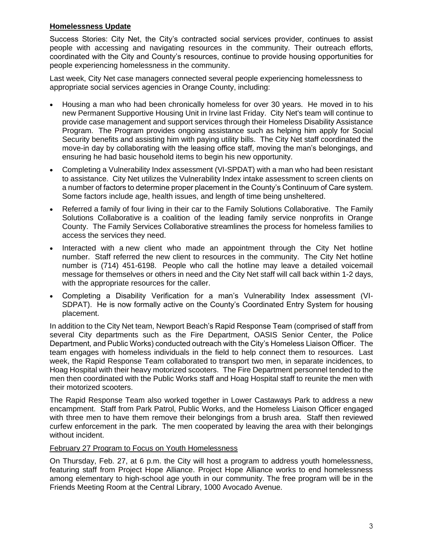## **Homelessness Update**

Success Stories: City Net, the City's contracted social services provider, continues to assist people with accessing and navigating resources in the community. Their outreach efforts, coordinated with the City and County's resources, continue to provide housing opportunities for people experiencing homelessness in the community.

Last week, City Net case managers connected several people experiencing homelessness to appropriate social services agencies in Orange County, including:

- Housing a man who had been chronically homeless for over 30 years. He moved in to his new Permanent Supportive Housing Unit in Irvine last Friday. City Net's team will continue to provide case management and support services through their Homeless Disability Assistance Program. The Program provides ongoing assistance such as helping him apply for Social Security benefits and assisting him with paying utility bills. The City Net staff coordinated the move-in day by collaborating with the leasing office staff, moving the man's belongings, and ensuring he had basic household items to begin his new opportunity.
- Completing a Vulnerability Index assessment (VI-SPDAT) with a man who had been resistant to assistance. City Net utilizes the Vulnerability Index intake assessment to screen clients on a number of factors to determine proper placement in the County's Continuum of Care system. Some factors include age, health issues, and length of time being unsheltered.
- Referred a family of four living in their car to the Family Solutions Collaborative. The Family Solutions Collaborative is a coalition of the leading family service nonprofits in Orange County. The Family Services Collaborative streamlines the process for homeless families to access the services they need.
- Interacted with a new client who made an appointment through the City Net hotline number. Staff referred the new client to resources in the community. The City Net hotline number is (714) 451-6198. People who call the hotline may leave a detailed voicemail message for themselves or others in need and the City Net staff will call back within 1-2 days, with the appropriate resources for the caller.
- Completing a Disability Verification for a man's Vulnerability Index assessment (VI-SDPAT). He is now formally active on the County's Coordinated Entry System for housing placement.

In addition to the City Net team, Newport Beach's Rapid Response Team (comprised of staff from several City departments such as the Fire Department, OASIS Senior Center, the Police Department, and Public Works) conducted outreach with the City's Homeless Liaison Officer. The team engages with homeless individuals in the field to help connect them to resources. Last week, the Rapid Response Team collaborated to transport two men, in separate incidences, to Hoag Hospital with their heavy motorized scooters. The Fire Department personnel tended to the men then coordinated with the Public Works staff and Hoag Hospital staff to reunite the men with their motorized scooters.

The Rapid Response Team also worked together in Lower Castaways Park to address a new encampment. Staff from Park Patrol, Public Works, and the Homeless Liaison Officer engaged with three men to have them remove their belongings from a brush area. Staff then reviewed curfew enforcement in the park. The men cooperated by leaving the area with their belongings without incident.

#### February 27 Program to Focus on Youth Homelessness

On Thursday, Feb. 27, at 6 p.m. the City will host a program to address youth homelessness, featuring staff from Project Hope Alliance. Project Hope Alliance works to end homelessness among elementary to high-school age youth in our community. The free program will be in the Friends Meeting Room at the Central Library, 1000 Avocado Avenue.